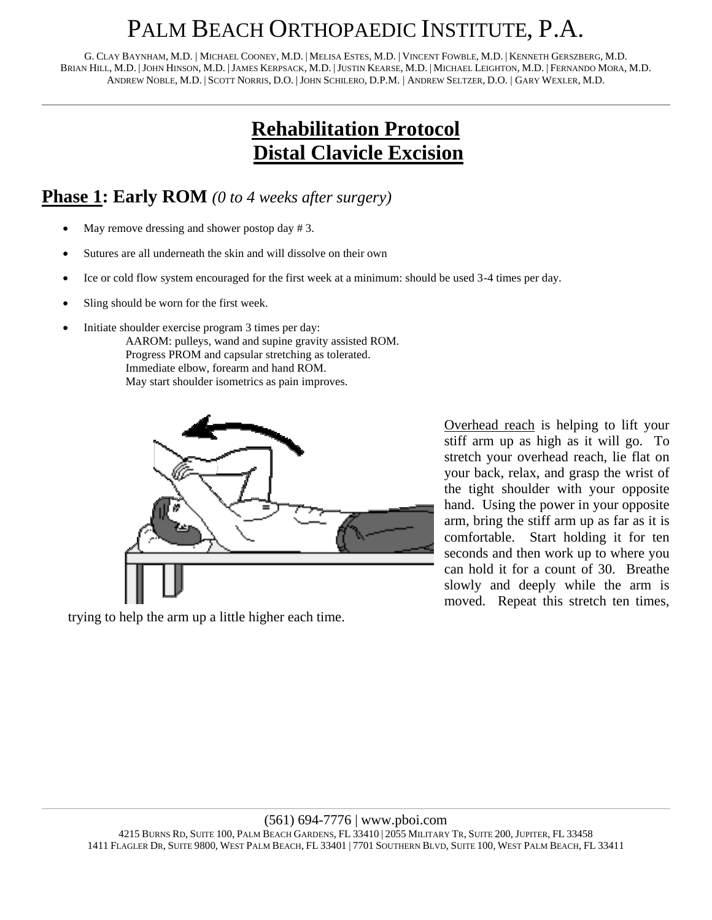## PALM BEACH ORTHOPAEDIC INSTITUTE, P.A.

G. CLAY BAYNHAM, M.D. | MICHAEL COONEY, M.D. | MELISA ESTES, M.D. | VINCENT FOWBLE, M.D. | KENNETH GERSZBERG, M.D. BRIAN HILL, M.D. |JOHN HINSON, M.D. |JAMES KERPSACK, M.D. |JUSTIN KEARSE, M.D. | MICHAEL LEIGHTON, M.D. | FERNANDO MORA, M.D. ANDREW NOBLE, M.D. | SCOTT NORRIS, D.O. |JOHN SCHILERO, D.P.M. | ANDREW SELTZER, D.O. | GARY WEXLER, M.D.

### **Rehabilitation Protocol Distal Clavicle Excision**

#### **Phase 1: Early ROM** *(0 to 4 weeks after surgery)*

- May remove dressing and shower postop day # 3.
- Sutures are all underneath the skin and will dissolve on their own
- Ice or cold flow system encouraged for the first week at a minimum: should be used 3-4 times per day.
- Sling should be worn for the first week.
- Initiate shoulder exercise program 3 times per day:
	- AAROM: pulleys, wand and supine gravity assisted ROM. Progress PROM and capsular stretching as tolerated. Immediate elbow, forearm and hand ROM. May start shoulder isometrics as pain improves.



trying to help the arm up a little higher each time.

Overhead reach is helping to lift your stiff arm up as high as it will go. To stretch your overhead reach, lie flat on your back, relax, and grasp the wrist of the tight shoulder with your opposite hand. Using the power in your opposite arm, bring the stiff arm up as far as it is comfortable. Start holding it for ten seconds and then work up to where you can hold it for a count of 30. Breathe slowly and deeply while the arm is moved. Repeat this stretch ten times,